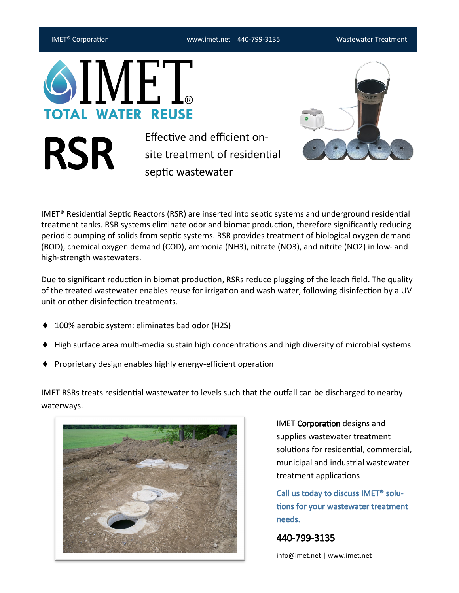IMET® Corporation www.imet.net 440-799-3135 Wastewater Treatment

**TOTAL WATER REUSE** 

RSR

Effective and efficient onsite treatment of residential septic wastewater



IMET® Residential Septic Reactors (RSR) are inserted into septic systems and underground residential treatment tanks. RSR systems eliminate odor and biomat production, therefore significantly reducing periodic pumping of solids from septic systems. RSR provides treatment of biological oxygen demand (BOD), chemical oxygen demand (COD), ammonia (NH3), nitrate (NO3), and nitrite (NO2) in low- and high-strength wastewaters.

Due to significant reduction in biomat production, RSRs reduce plugging of the leach field. The quality of the treated wastewater enables reuse for irrigation and wash water, following disinfection by a UV unit or other disinfection treatments.

- ◆ 100% aerobic system: eliminates bad odor (H2S)
- ◆ High surface area multi-media sustain high concentrations and high diversity of microbial systems
- ◆ Proprietary design enables highly energy-efficient operation

IMET RSRs treats residential wastewater to levels such that the outfall can be discharged to nearby waterways.



IMET Corporation designs and supplies wastewater treatment solutions for residential, commercial, municipal and industrial wastewater treatment applications

Call us today to discuss IMET® solutions for your wastewater treatment needs.

440-799-3135

info@imet.net | www.imet.net